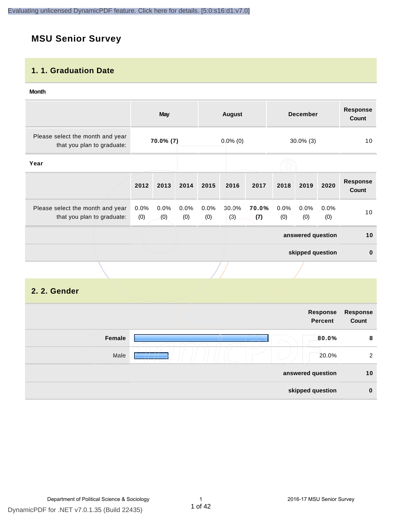# **MSU Senior Survey**

#### **1. 1. Graduation Date**

#### **Month**

|                                                                |                | <b>May</b>  |             | <b>December</b><br><b>August</b> |              |              | <b>Response</b><br>Count |                   |              |                          |
|----------------------------------------------------------------|----------------|-------------|-------------|----------------------------------|--------------|--------------|--------------------------|-------------------|--------------|--------------------------|
| Please select the month and year<br>that you plan to graduate: |                | 70.0% (7)   |             | $0.0\%$ (0)<br>$30.0\%$ (3)      |              |              | 10                       |                   |              |                          |
| Year                                                           |                |             |             |                                  |              |              |                          |                   |              |                          |
|                                                                | 2012           | 2013        | 2014        | 2015                             | 2016         | 2017         | 2018                     | 2019              | 2020         | <b>Response</b><br>Count |
| Please select the month and year<br>that you plan to graduate: | $0.0\%$<br>(0) | 0.0%<br>(0) | 0.0%<br>(0) | 0.0%<br>(0)                      | 30.0%<br>(3) | 70.0%<br>(7) | 0.0%<br>(0)              | 0.0%<br>(0)       | 0.0%<br>(0)  | 10 <sub>1</sub>          |
|                                                                |                |             |             |                                  |              |              |                          | answered question |              | 10                       |
|                                                                |                |             |             |                                  |              |              | skipped question         |                   | $\mathbf{0}$ |                          |
|                                                                |                |             |             |                                  |              |              |                          |                   |              |                          |

#### **2. 2. Gender**

| Response<br>Count | Response<br><b>Percent</b> |        |
|-------------------|----------------------------|--------|
| 8                 | 80.0%                      | Female |
| 2                 | 20.0%                      | Male   |
| 10                | answered question          |        |
| $\bf{0}$          | skipped question           |        |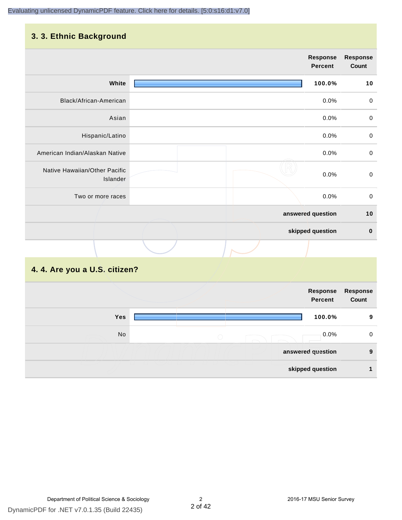# **3. 3. Ethnic Background**

|                                           | <b>Response</b><br><b>Percent</b> | <b>Response</b><br>Count |
|-------------------------------------------|-----------------------------------|--------------------------|
| White                                     | 100.0%                            | 10                       |
| Black/African-American                    | 0.0%                              | $\pmb{0}$                |
| Asian                                     | 0.0%                              | $\pmb{0}$                |
| Hispanic/Latino                           | 0.0%                              | $\pmb{0}$                |
| American Indian/Alaskan Native            | 0.0%                              | $\mathbf 0$              |
| Native Hawaiian/Other Pacific<br>Islander | 0.0%                              | $\pmb{0}$                |
| Two or more races                         | 0.0%                              | $\mathbf 0$              |
|                                           | answered question                 | $10$                     |
|                                           | skipped question                  | $\pmb{0}$                |
|                                           |                                   |                          |

# **4. 4. Are you a U.S. citizen?**

|     | Response<br><b>Percent</b> | Response<br>Count |
|-----|----------------------------|-------------------|
| Yes | 100.0%                     | 9                 |
| No  | 0.0%<br>$\bigcirc$         | 0                 |
|     | answered question          | 9                 |
|     | skipped question           |                   |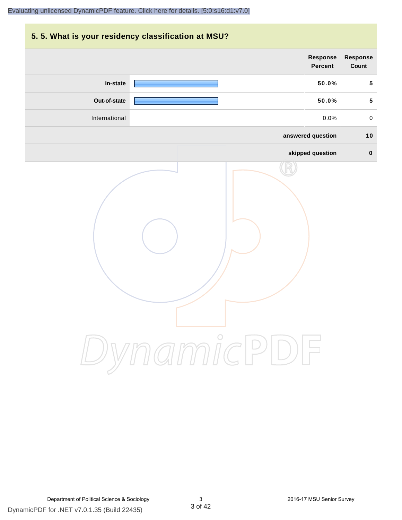# **5. 5. What is your residency classification at MSU? Response Response Percent Count In-state 50.0% 5 Out-of-state 50.0% 5** International 0.0% 0 **answered question 10 skipped question 0** DynamicPDF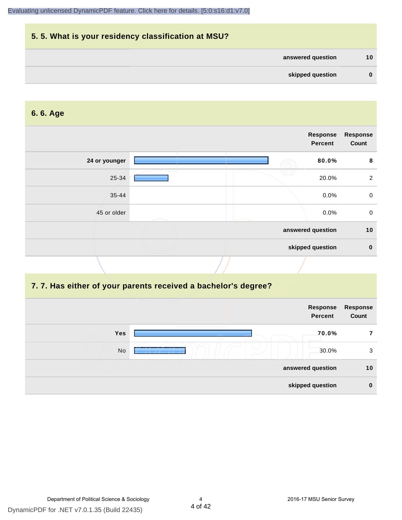

#### **6. 6. Age**

|               | Response<br><b>Percent</b> | <b>Response</b><br>Count |
|---------------|----------------------------|--------------------------|
| 24 or younger | 80.0%                      | 8                        |
| 25-34         | 20.0%                      | $\overline{2}$           |
| $35 - 44$     | 0.0%                       | $\mathbf 0$              |
| 45 or older   | 0.0%                       | $\mathbf 0$              |
|               | answered question          | 10                       |
|               | skipped question           | $\mathbf 0$              |

#### **7. 7. Has either of your parents received a bachelor's degree?**

|            | Response<br><b>Percent</b> | Response<br>Count |
|------------|----------------------------|-------------------|
| <b>Yes</b> | 70.0%                      |                   |
| No         | 30.0%                      | 3                 |
|            | answered question          | 10                |
|            | skipped question           | $\bf{0}$          |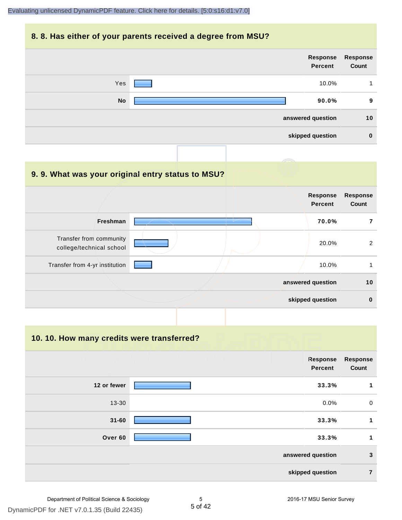#### **8. 8. Has either of your parents received a degree from MSU?**



| 9.9. What was your original entry status to MSU?    |                                   |                          |
|-----------------------------------------------------|-----------------------------------|--------------------------|
|                                                     | <b>Response</b><br><b>Percent</b> | <b>Response</b><br>Count |
| Freshman                                            | 70.0%                             |                          |
| Transfer from community<br>college/technical school | 20.0%                             | 2                        |
| Transfer from 4-yr institution                      | 10.0%                             |                          |
|                                                     | answered question                 | 10                       |
|                                                     | skipped question                  | $\bf{0}$                 |

**10. 10. How many credits were transferred?**

|             | Response<br><b>Percent</b> | <b>Response</b><br>Count |
|-------------|----------------------------|--------------------------|
| 12 or fewer | 33.3%                      | $\mathbf 1$              |
| $13 - 30$   | 0.0%                       | $\mathbf 0$              |
| $31 - 60$   | 33.3%                      | $\mathbf 1$              |
| Over 60     | 33.3%                      | 1                        |
|             | answered question          | $\mathbf{3}$             |
|             | skipped question           | 7                        |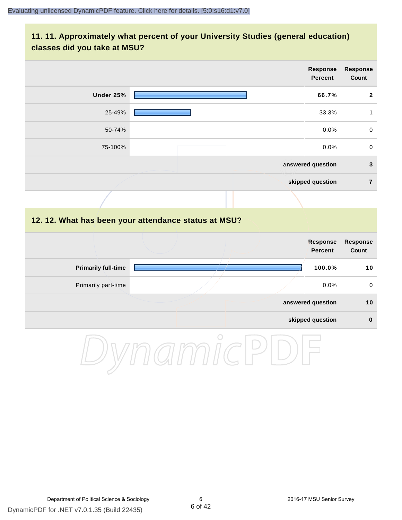#### **11. 11. Approximately what percent of your University Studies (general education) classes did you take at MSU?**

|                            |                                                      | Response<br><b>Percent</b>        | <b>Response</b><br>Count |
|----------------------------|------------------------------------------------------|-----------------------------------|--------------------------|
| Under 25%                  |                                                      | 66.7%                             | $\overline{2}$           |
| 25-49%                     |                                                      | 33.3%                             | $\mathbf{1}$             |
| 50-74%                     |                                                      | 0.0%                              | $\pmb{0}$                |
| 75-100%                    |                                                      | 0.0%                              | $\mathsf{O}\xspace$      |
|                            |                                                      | answered question                 | $\mathbf{3}$             |
|                            |                                                      | skipped question                  |                          |
|                            |                                                      |                                   |                          |
|                            | 12. 12. What has been your attendance status at MSU? |                                   |                          |
|                            |                                                      | <b>Response</b><br><b>Percent</b> | <b>Response</b><br>Count |
| <b>Primarily full-time</b> |                                                      | 100.0%                            | 10                       |
| Primarily part-time        |                                                      | 0.0%                              | $\mathsf{O}\xspace$      |
|                            |                                                      | answered question                 | 10                       |
|                            |                                                      | skipped question                  | $\pmb{0}$                |
|                            |                                                      |                                   |                          |

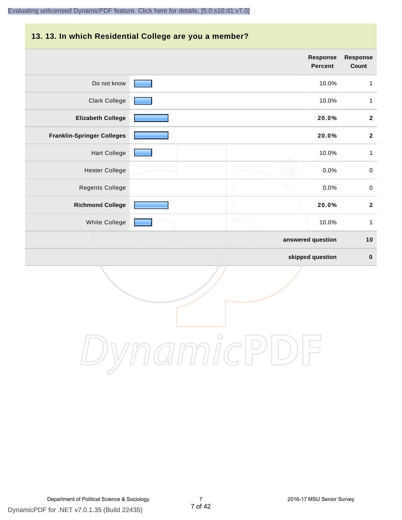# **13. 13. In which Residential College are you a member?**

|                                   | <b>Response</b><br>Percent | <b>Response</b><br>Count |
|-----------------------------------|----------------------------|--------------------------|
| Do not know                       | 10.0%                      | $\mathbf{1}$             |
| <b>Clark College</b>              | 10.0%                      | $\mathbf{1}$             |
| <b>Elizabeth College</b>          | 20.0%                      | $\boldsymbol{2}$         |
| <b>Franklin-Springer Colleges</b> | 20.0%                      | $\boldsymbol{2}$         |
| <b>Hart College</b>               | 10.0%                      | $\mathbf{1}$             |
| <b>Hester College</b>             | 0.0%                       | $\pmb{0}$                |
| <b>Regents College</b>            | 0.0%                       | $\pmb{0}$                |
| <b>Richmond College</b>           | 20.0%                      | $\mathbf{2}$             |
| White College                     | 10.0%                      | $\mathbf{1}$             |
|                                   | answered question          | 10                       |
|                                   | skipped question           | $\pmb{0}$                |

DynamicPDF

DynamicPDF for .NET v7.0.1.35 (Build 22435) Department of Political Science & Sociology 7 2016-17 MSU Senior Survey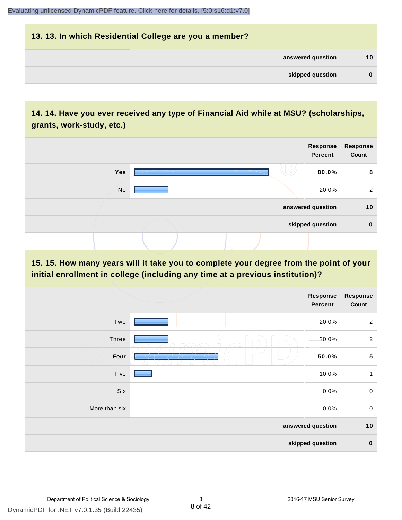# **13. 13. In which Residential College are you a member? answered question 10 skipped question 0**

## **14. 14. Have you ever received any type of Financial Aid while at MSU? (scholarships, grants, work-study, etc.)**



#### **15. 15. How many years will it take you to complete your degree from the point of your initial enrollment in college (including any time at a previous institution)?**

|                  | <b>Response</b><br>Percent | <b>Response</b><br>Count |
|------------------|----------------------------|--------------------------|
| Two              | 20.0%                      | $\overline{2}$           |
| Three            | $\bigcirc$<br>20.0%        | $\overline{2}$           |
| Four             | 50.0%                      | ${\bf 5}$                |
| Five             | 10.0%                      | 1                        |
| Six              | 0.0%                       | $\pmb{0}$                |
| More than six    | 0.0%                       | $\mathbf 0$              |
|                  | answered question          |                          |
| skipped question |                            | $\bf{0}$                 |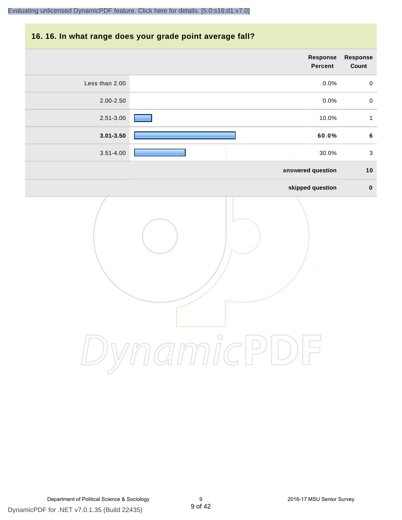#### **16. 16. In what range does your grade point average fall?**

| Response<br>Count | Response<br>Percent                 |                |
|-------------------|-------------------------------------|----------------|
| $\mathbf 0$       | 0.0%                                | Less than 2.00 |
| $\mathbf 0$       | 0.0%                                | 2.00-2.50      |
| $\mathbf{1}$      | 10.0%                               | 2.51-3.00      |
| $\bf 6$           | 60.0%                               | $3.01 - 3.50$  |
| $\sqrt{3}$        | 30.0%                               | $3.51 - 4.00$  |
| 10                | answered question                   |                |
| $\mathbf 0$       | skipped question                    |                |
|                   | $m\mathring{\mathit{nc}}$<br>$\geq$ |                |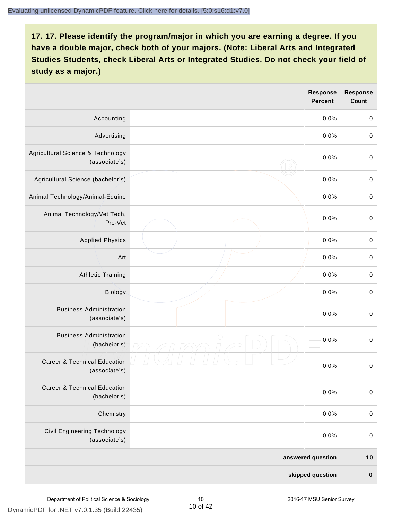|                                                          |            | <b>Response</b><br><b>Percent</b> | <b>Response</b><br><b>Count</b> |
|----------------------------------------------------------|------------|-----------------------------------|---------------------------------|
| Accounting                                               |            | 0.0%                              | $\mathbf 0$                     |
| Advertising                                              |            | 0.0%                              | $\pmb{0}$                       |
| Agricultural Science & Technology<br>(associate's)       |            | 0.0%                              | $\mathbf 0$                     |
| Agricultural Science (bachelor's)                        |            | 0.0%                              | $\mathbf 0$                     |
| Animal Technology/Animal-Equine                          |            | 0.0%                              | $\mathbf 0$                     |
| Animal Technology/Vet Tech,<br>Pre-Vet                   |            | 0.0%                              | $\mathbf 0$                     |
| <b>Applied Physics</b>                                   |            | 0.0%                              | $\mathbf 0$                     |
| Art                                                      |            | 0.0%                              | $\pmb{0}$                       |
| <b>Athletic Training</b>                                 |            | 0.0%                              | $\pmb{0}$                       |
| Biology                                                  |            | 0.0%                              | $\pmb{0}$                       |
| <b>Business Administration</b><br>(associate's)          |            | 0.0%                              | $\pmb{0}$                       |
| <b>Business Administration</b><br>(bachelor's)           | $\bigcirc$ | 0.0%                              | $\boldsymbol{0}$                |
| <b>Career &amp; Technical Education</b><br>(associate's) |            | 0.0%                              | $\mathbf 0$                     |
| <b>Career &amp; Technical Education</b><br>(bachelor's)  |            | 0.0%                              | $\mathbf 0$                     |
| Chemistry                                                |            | 0.0%                              | $\mathbf 0$                     |
| <b>Civil Engineering Technology</b><br>(associate's)     |            | 0.0%                              | $\mathbf 0$                     |
|                                                          |            | answered question                 | $10$                            |
|                                                          |            | skipped question                  | $\pmb{0}$                       |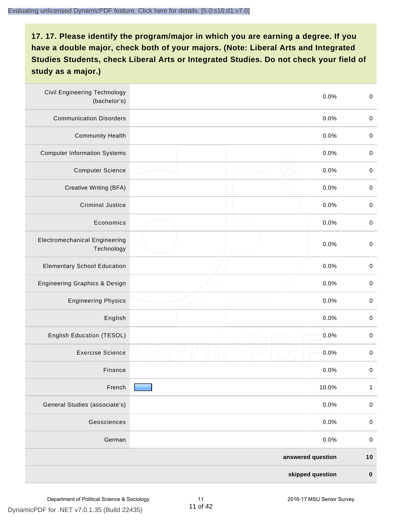| <b>Civil Engineering Technology</b><br>(bachelor's) | 0.0%               | $\mathbf 0$  |
|-----------------------------------------------------|--------------------|--------------|
| <b>Communication Disorders</b>                      | 0.0%               | $\mathbf 0$  |
| <b>Community Health</b>                             | 0.0%               | $\mathbf 0$  |
| <b>Computer Information Systems</b>                 | 0.0%               | $\pmb{0}$    |
| <b>Computer Science</b>                             | 0.0%               | $\mathbf 0$  |
| Creative Writing (BFA)                              | 0.0%               | $\mathbf 0$  |
| Criminal Justice                                    | 0.0%               | $\pmb{0}$    |
| Economics                                           | 0.0%               | $\mathbf 0$  |
| <b>Electromechanical Engineering</b><br>Technology  | 0.0%               | $\mathbf 0$  |
| <b>Elementary School Education</b>                  | 0.0%               | $\mathbf 0$  |
| Engineering Graphics & Design                       | 0.0%               | $\mathbf 0$  |
| <b>Engineering Physics</b>                          | 0.0%               | $\mathbf 0$  |
| English                                             | 0.0%               | $\pmb{0}$    |
| English Education (TESOL)                           | 0.0%<br>$\bigcirc$ | $\pmb{0}$    |
| <b>Exercise Science</b>                             | 0.0%               | $\pmb{0}$    |
| Finance                                             | 0.0%               | $\pmb{0}$    |
| French                                              | 10.0%              | $\mathbf{1}$ |
| General Studies (associate's)                       | 0.0%               | $\,0\,$      |
| Geosciences                                         | 0.0%               | $\mathbf 0$  |
| German                                              | 0.0%               | $\mathbf 0$  |
|                                                     | answered question  | $10$         |
|                                                     | skipped question   | $\pmb{0}$    |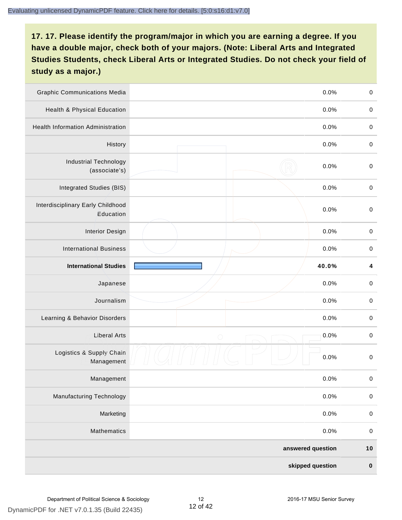| <b>Graphic Communications Media</b>            |            | 0.0%              | $\mathbf 0$ |
|------------------------------------------------|------------|-------------------|-------------|
| <b>Health &amp; Physical Education</b>         |            | 0.0%              | $\mathbf 0$ |
| <b>Health Information Administration</b>       |            | 0.0%              | $\pmb{0}$   |
| History                                        |            | 0.0%              | $\pmb{0}$   |
| <b>Industrial Technology</b><br>(associate's)  |            | 0.0%              | $\pmb{0}$   |
| Integrated Studies (BIS)                       |            | 0.0%              | $\mathbf 0$ |
| Interdisciplinary Early Childhood<br>Education |            | 0.0%              | $\mathbf 0$ |
| <b>Interior Design</b>                         |            | 0.0%              | $\mathbf 0$ |
| <b>International Business</b>                  |            | 0.0%              | $\pmb{0}$   |
| <b>International Studies</b>                   |            | 40.0%             | 4           |
| Japanese                                       |            | 0.0%              | $\pmb{0}$   |
| Journalism                                     |            | 0.0%              | $\pmb{0}$   |
| Learning & Behavior Disorders                  |            | 0.0%              | $\pmb{0}$   |
| <b>Liberal Arts</b>                            | $\bigcirc$ | 0.0%              | $\mathbf 0$ |
| Logistics & Supply Chain<br>Management         |            | 0.0%              | $\mathbf 0$ |
| Management                                     |            | 0.0%              | $\pmb{0}$   |
| Manufacturing Technology                       |            | 0.0%              | $\mathbf 0$ |
| Marketing                                      |            | 0.0%              | $\mathbf 0$ |
| Mathematics                                    |            | 0.0%              | $\,0\,$     |
|                                                |            | answered question | $10$        |
|                                                |            | skipped question  | $\pmb{0}$   |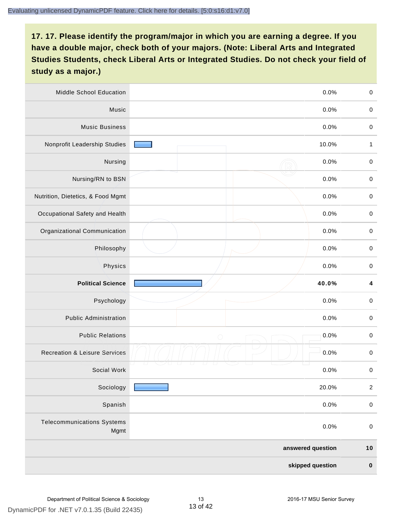| Middle School Education                   |                   | 0.0%<br>$\,0\,$         |
|-------------------------------------------|-------------------|-------------------------|
| Music                                     |                   | 0.0%<br>$\,0\,$         |
| <b>Music Business</b>                     |                   | $\mathbf 0$<br>0.0%     |
| Nonprofit Leadership Studies              | 10.0%             | 1                       |
| Nursing                                   |                   | 0.0%<br>$\pmb{0}$       |
| Nursing/RN to BSN                         |                   | 0.0%<br>$\,0\,$         |
| Nutrition, Dietetics, & Food Mgmt         |                   | 0.0%<br>$\pmb{0}$       |
| Occupational Safety and Health            |                   | 0.0%<br>$\pmb{0}$       |
| Organizational Communication              |                   | 0.0%<br>$\pmb{0}$       |
| Philosophy                                |                   | 0.0%<br>$\mathbf 0$     |
| Physics                                   |                   | 0.0%<br>$\pmb{0}$       |
| <b>Political Science</b>                  | 40.0%             | $\overline{\mathbf{4}}$ |
| Psychology                                |                   | 0.0%<br>$\pmb{0}$       |
| <b>Public Administration</b>              |                   | 0.0%<br>$\pmb{0}$       |
| <b>Public Relations</b>                   | $\bigcirc$        | 0.0%<br>$\pmb{0}$       |
| <b>Recreation &amp; Leisure Services</b>  |                   | 0.0%<br>$\pmb{0}$       |
| Social Work                               |                   | 0.0%<br>$\pmb{0}$       |
| Sociology                                 | 20.0%             | $\sqrt{2}$              |
| Spanish                                   |                   | 0.0%<br>$\mathbf 0$     |
| <b>Telecommunications Systems</b><br>Mgmt |                   | $\mathbf 0$<br>0.0%     |
|                                           | answered question | $10$                    |
|                                           | skipped question  | $\pmb{0}$               |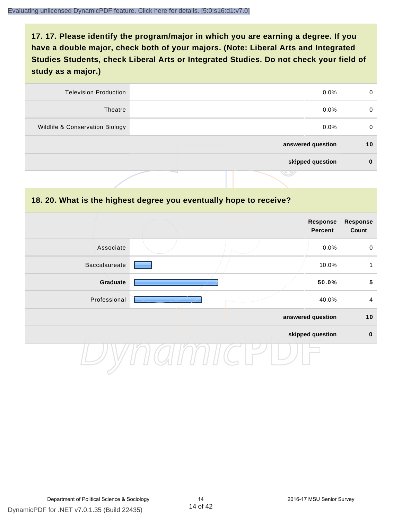| 0  | $0.0\%$           | <b>Television Production</b>    |
|----|-------------------|---------------------------------|
| 0  | $0.0\%$           | Theatre                         |
| 0  | $0.0\%$           | Wildlife & Conservation Biology |
| 10 | answered question |                                 |
| 0  | skipped question  |                                 |
|    | マッ                |                                 |

#### **18. 20. What is the highest degree you eventually hope to receive?**

|                      |  | Response<br>Percent | <b>Response</b><br>Count |
|----------------------|--|---------------------|--------------------------|
| Associate            |  | 0.0%                | $\mathbf 0$              |
| <b>Baccalaureate</b> |  | 10.0%               | 1                        |
| Graduate             |  | 50.0%               | $5\phantom{.0}$          |
| Professional         |  | 40.0%               | $\overline{4}$           |
|                      |  | answered question   | 10                       |
|                      |  | skipped question    | $\mathbf 0$              |
|                      |  |                     |                          |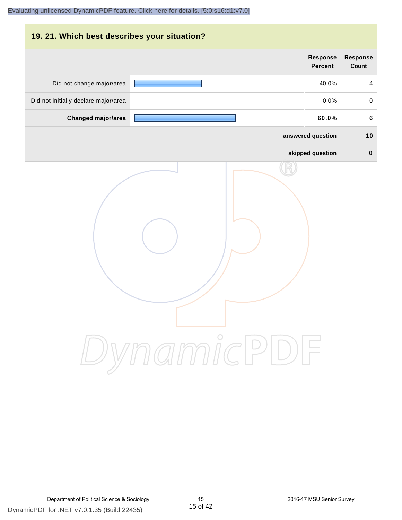# **19. 21. Which best describes your situation? Response Response Percent Count** Did not change major/area **40.0%** 4 Did not initially declare major/area  $0.0\%$  0.0% 0.0% **Changed major/area 60.0% 6 answered question 10 skipped question 0** DynamicPDF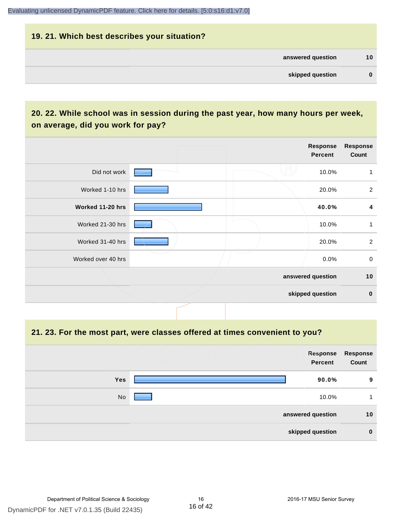# **19. 21. Which best describes your situation? answered question 10 skipped question 0**

## **20. 22. While school was in session during the past year, how many hours per week, on average, did you work for pay?**

|                    |  | Response<br><b>Percent</b> | <b>Response</b><br>Count |
|--------------------|--|----------------------------|--------------------------|
| Did not work       |  | 10.0%                      | 1                        |
| Worked 1-10 hrs    |  | 20.0%                      | $\overline{2}$           |
| Worked 11-20 hrs   |  | 40.0%                      | 4                        |
| Worked 21-30 hrs   |  | 10.0%                      | 1                        |
| Worked 31-40 hrs   |  | 20.0%                      | $\overline{2}$           |
| Worked over 40 hrs |  | 0.0%                       | $\mathbf 0$              |
|                    |  | answered question          | 10                       |
|                    |  | skipped question           | $\mathbf 0$              |

**21. 23. For the most part, were classes offered at times convenient to you?**

|                   | Response<br><b>Percent</b> | <b>Response</b><br>Count |
|-------------------|----------------------------|--------------------------|
| <b>Yes</b>        | 90.0%                      | 9                        |
| No                | 10.0%                      |                          |
| answered question |                            | 10                       |
| skipped question  |                            | $\bf{0}$                 |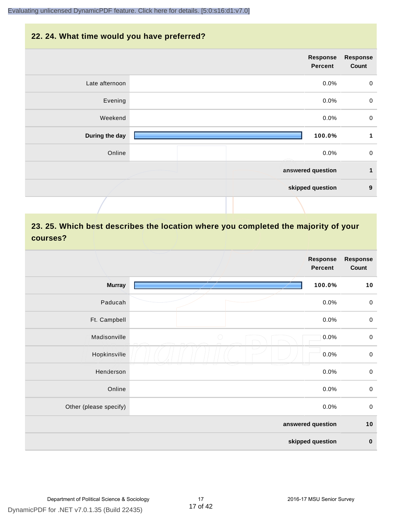#### **22. 24. What time would you have preferred?**

|                | Response<br>Percent | <b>Response</b><br>Count |
|----------------|---------------------|--------------------------|
| Late afternoon | 0.0%                | $\pmb{0}$                |
| Evening        | 0.0%                | $\pmb{0}$                |
| Weekend        | 0.0%                | $\mathbf 0$              |
| During the day | 100.0%              | 1                        |
| Online         | 0.0%                | $\mathbf 0$              |
|                | answered question   | $\mathbf{1}$             |
|                | skipped question    | $\boldsymbol{9}$         |
|                |                     |                          |

# **23. 25. Which best describes the location where you completed the majority of your courses?**

|                        |            | <b>Response</b><br><b>Percent</b> | Response<br>Count |
|------------------------|------------|-----------------------------------|-------------------|
| <b>Murray</b>          |            | 100.0%                            | 10                |
| Paducah                |            | 0.0%                              | $\pmb{0}$         |
| Ft. Campbell           |            | 0.0%                              | $\pmb{0}$         |
| Madisonville           | $\bigcirc$ | 0.0%                              | $\mathbf 0$       |
| Hopkinsville           |            | 0.0%                              | $\pmb{0}$         |
| Henderson              |            | 0.0%                              | $\mathbf 0$       |
| Online                 |            | 0.0%                              | $\pmb{0}$         |
| Other (please specify) |            | 0.0%                              | $\mathbf 0$       |
|                        |            | answered question                 | $10$              |
|                        |            | skipped question                  | $\pmb{0}$         |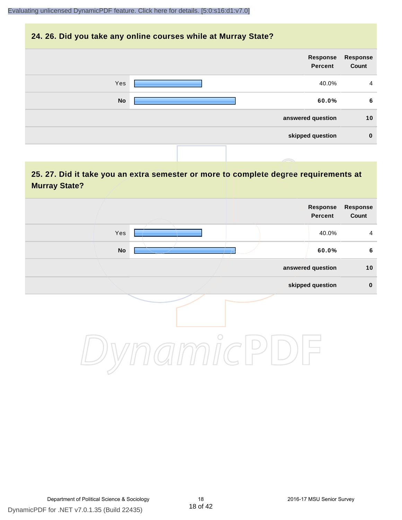#### **24. 26. Did you take any online courses while at Murray State?**



## **25. 27. Did it take you an extra semester or more to complete degree requirements at Murray State?**

| Response<br>Count | Response<br>Percent |            |     |  |
|-------------------|---------------------|------------|-----|--|
| $\overline{4}$    | 40.0%               |            | Yes |  |
| $6\phantom{1}$    | 60.0%               |            | No  |  |
| 10                | answered question   |            |     |  |
| $\pmb{0}$         | skipped question    |            |     |  |
|                   |                     | $\bigcirc$ |     |  |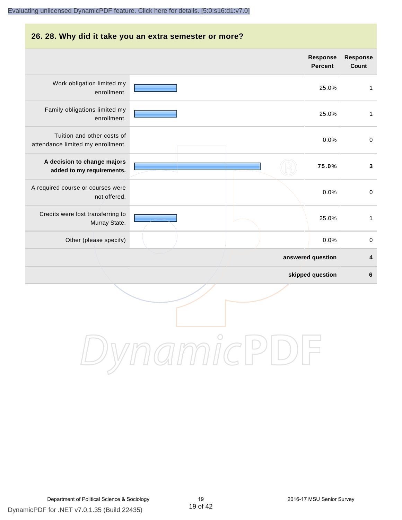# **26. 28. Why did it take you an extra semester or more? answered question 4 skipped question 6 Response Percent Response Count** Work obligation limited my enrollment. 25.0% 1 Family obligations limited my enrollment. 25.0% 1 Tuition and other costs of attendance limited my enrollment. 0.0% 0 **A decision to change majors added to my requirements. 75.0% 3** A required course or courses were not offered. 0.0% 0 Credits were lost transferring to Murray State. 25.0% 1 Other (please specify) and the contract of the contract of the contract of the contract of the contract of the contract of the contract of the contract of the contract of the contract of the contract of the contract of the

DynamicPDF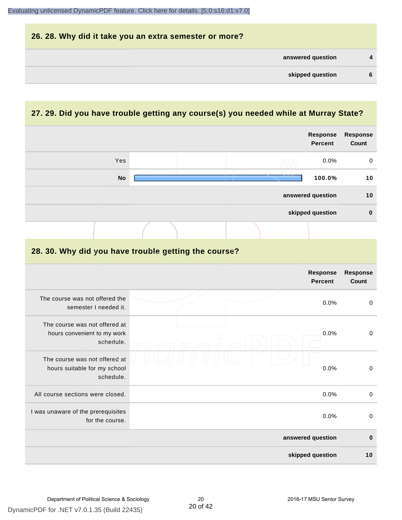| 26. 28. Why did it take you an extra semester or more? |              |
|--------------------------------------------------------|--------------|
| answered question                                      | $\mathbf{A}$ |
| skipped question                                       | 6            |

# **27. 29. Did you have trouble getting any course(s) you needed while at Murray State?**

|                                                                            |  |      |             | Response<br><b>Percent</b>        | <b>Response</b><br>Count |
|----------------------------------------------------------------------------|--|------|-------------|-----------------------------------|--------------------------|
| Yes                                                                        |  |      |             | 0.0%                              | 0                        |
| <b>No</b>                                                                  |  |      |             | 100.0%                            | 10                       |
|                                                                            |  |      |             | answered question                 | 10                       |
|                                                                            |  |      |             | skipped question                  | $\pmb{0}$                |
|                                                                            |  |      |             |                                   |                          |
| 28. 30. Why did you have trouble getting the course?                       |  |      |             |                                   |                          |
|                                                                            |  |      |             | <b>Response</b><br><b>Percent</b> | Response<br>Count        |
| The course was not offered the<br>semester I needed it.                    |  |      |             | 0.0%                              | $\pmb{0}$                |
| The course was not offered at<br>hours convenient to my work<br>schedule.  |  |      |             | 0.0%                              | $\mathbf 0$              |
| The course was not offered at<br>hours suitable for my school<br>schedule. |  | 0.0% | $\mathbf 0$ |                                   |                          |
| All course sections were closed.                                           |  |      |             | 0.0%                              | $\pmb{0}$                |
| I was unaware of the prerequisites<br>for the course.                      |  |      |             | 0.0%                              | $\mathbf 0$              |
|                                                                            |  |      |             | answered question                 | $\bf{0}$                 |
|                                                                            |  |      |             | skipped question                  | 10                       |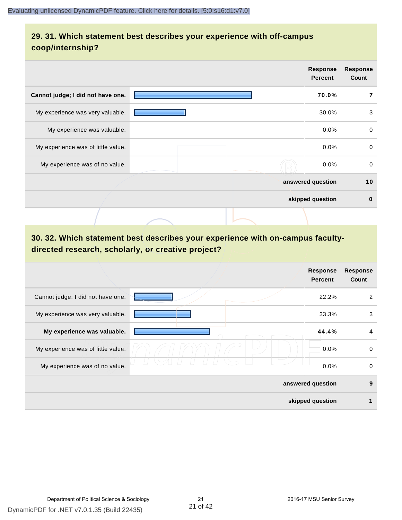## **29. 31. Which statement best describes your experience with off-campus coop/internship?**

|                                    | <b>Response</b><br><b>Percent</b> |         | <b>Response</b><br>Count |
|------------------------------------|-----------------------------------|---------|--------------------------|
| Cannot judge; I did not have one.  |                                   | 70.0%   | 7                        |
| My experience was very valuable.   |                                   | 30.0%   | 3                        |
| My experience was valuable.        |                                   | 0.0%    | $\mathbf 0$              |
| My experience was of little value. |                                   | $0.0\%$ | $\mathbf 0$              |
| My experience was of no value.     |                                   | $0.0\%$ | $\mathbf 0$              |
|                                    | answered question                 |         | 10                       |
|                                    | skipped question                  |         | $\bf{0}$                 |
|                                    |                                   |         |                          |

# **30. 32. Which statement best describes your experience with on-campus facultydirected research, scholarly, or creative project?**

|                                    |                   | <b>Response</b><br><b>Percent</b> | <b>Response</b><br>Count |
|------------------------------------|-------------------|-----------------------------------|--------------------------|
| Cannot judge; I did not have one.  |                   | 22.2%                             | 2                        |
| My experience was very valuable.   |                   | 33.3%                             | 3                        |
| My experience was valuable.        |                   | 44.4%                             | 4                        |
| My experience was of little value. |                   | 0.0%                              | $\mathbf 0$              |
| My experience was of no value.     |                   | 0.0%                              | 0                        |
|                                    | answered question |                                   | 9                        |
|                                    | skipped question  |                                   | 1                        |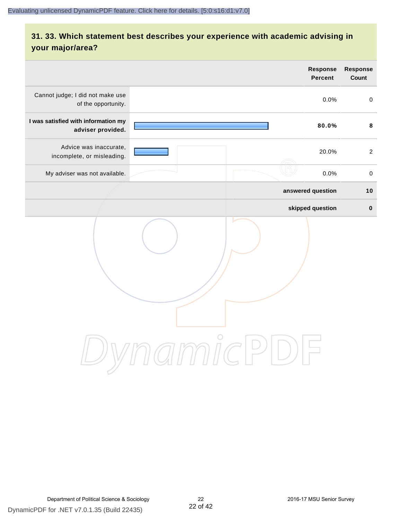# **31. 33. Which statement best describes your experience with academic advising in your major/area?**

|                                                          | Response<br><b>Percent</b>          | <b>Response</b><br>Count |
|----------------------------------------------------------|-------------------------------------|--------------------------|
| Cannot judge; I did not make use<br>of the opportunity.  | 0.0%                                | $\mathsf{O}$             |
| I was satisfied with information my<br>adviser provided. | 80.0%                               | 8                        |
| Advice was inaccurate,<br>incomplete, or misleading.     | 20.0%                               | $\overline{2}$           |
| My adviser was not available.                            | 0.0%                                | $\,0\,$                  |
|                                                          | answered question                   | $10$                     |
|                                                          | skipped question                    | $\pmb{0}$                |
|                                                          | amici<br>$\bigcup$<br>$\frac{1}{2}$ |                          |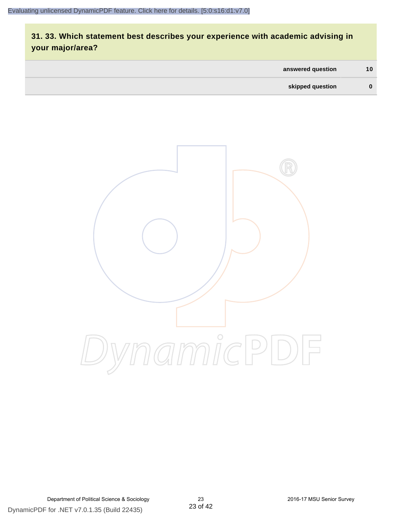# **31. 33. Which statement best describes your experience with academic advising in your major/area?**

| answered question | 10 <sup>1</sup> |
|-------------------|-----------------|
| skipped question  | 0               |

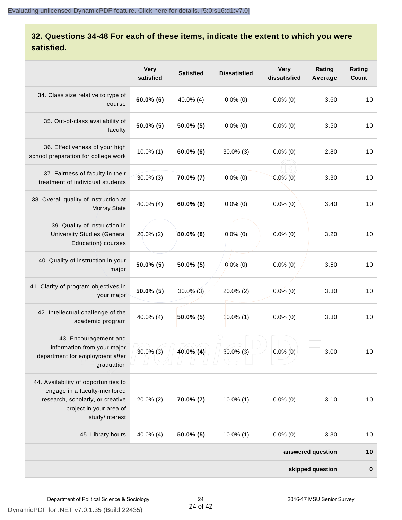## **32. Questions 34-48 For each of these items, indicate the extent to which you were satisfied.**

|                                                                                                                                                       | <b>Very</b><br>satisfied | <b>Satisfied</b> | <b>Dissatisfied</b> | <b>Very</b><br>dissatisfied | Rating<br>Average | Rating<br>Count |
|-------------------------------------------------------------------------------------------------------------------------------------------------------|--------------------------|------------------|---------------------|-----------------------------|-------------------|-----------------|
| 34. Class size relative to type of<br>course                                                                                                          | $60.0\%$ (6)             | 40.0% (4)        | $0.0\%$ (0)         | $0.0\%$ (0)                 | 3.60              | 10              |
| 35. Out-of-class availability of<br>faculty                                                                                                           | $50.0\%$ (5)             | $50.0\%$ (5)     | $0.0\%$ (0)         | $0.0\%$ (0)                 | 3.50              | 10              |
| 36. Effectiveness of your high<br>school preparation for college work                                                                                 | $10.0\%$ (1)             | $60.0\%$ (6)     | $30.0\%$ (3)        | $0.0\%$ (0)                 | 2.80              | 10              |
| 37. Fairness of faculty in their<br>treatment of individual students                                                                                  | $30.0\%$ (3)             | 70.0% (7)        | $0.0\%$ (0)         | $0.0\%$ (0)                 | 3.30              | 10              |
| 38. Overall quality of instruction at<br><b>Murray State</b>                                                                                          | 40.0% (4)                | $60.0\%$ (6)     | $0.0\%$ (0)         | $0.0\%$ (0)                 | 3.40              | 10              |
| 39. Quality of instruction in<br><b>University Studies (General</b><br>Education) courses                                                             | $20.0\%$ (2)             | $80.0\%$ (8)     | $0.0\%$ (0)         | $0.0\%$ (0)                 | 3.20              | 10              |
| 40. Quality of instruction in your<br>major                                                                                                           | $50.0\%$ (5)             | 50.0% (5)        | $0.0\%$ (0)         | $0.0\%$ (0)                 | 3.50              | 10              |
| 41. Clarity of program objectives in<br>your major                                                                                                    | $50.0\%$ (5)             | $30.0\%$ (3)     | 20.0% (2)           | $0.0\%$ (0)                 | 3.30              | 10              |
| 42. Intellectual challenge of the<br>academic program                                                                                                 | 40.0% (4)                | $50.0\%$ (5)     | $10.0\%$ (1)        | $0.0\%$ (0)                 | 3.30              | 10              |
| 43. Encouragement and<br>information from your major<br>department for employment after<br>graduation                                                 | $30.0\%$ (3)             | $40.0\%$ (4)     | $30.0\%$ (3)        | $0.0\%$ (0)                 | 3.00              | 10              |
| 44. Availability of opportunities to<br>engage in a faculty-mentored<br>research, scholarly, or creative<br>project in your area of<br>study/interest | $20.0\%$ (2)             | 70.0% (7)        | $10.0\%$ (1)        | $0.0\%$ (0)                 | 3.10              | 10              |
| 45. Library hours                                                                                                                                     | 40.0% (4)                | $50.0\%$ (5)     | $10.0\%$ (1)        | $0.0\%$ (0)                 | 3.30              | 10              |
|                                                                                                                                                       |                          |                  |                     |                             | answered question | 10              |
|                                                                                                                                                       |                          |                  |                     |                             | skipped question  | $\pmb{0}$       |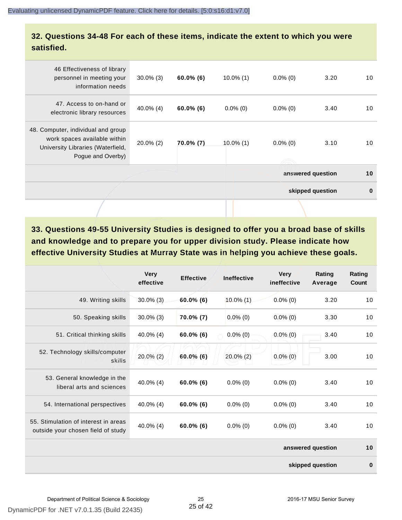#### **32. Questions 34-48 For each of these items, indicate the extent to which you were satisfied.**

| 46 Effectiveness of library<br>personnel in meeting your<br>information needs                                                | $30.0\%$ (3) | $60.0\%$ (6) | $10.0\%$ (1) | $0.0\%$ (0) | 3.20              | 10       |
|------------------------------------------------------------------------------------------------------------------------------|--------------|--------------|--------------|-------------|-------------------|----------|
| 47. Access to on-hand or<br>electronic library resources                                                                     | $40.0\%$ (4) | $60.0\%$ (6) | $0.0\%$ (0)  | $0.0\%$ (0) | 3.40              | 10       |
| 48. Computer, individual and group<br>work spaces available within<br>University Libraries (Waterfield,<br>Pogue and Overby) | $20.0\%$ (2) | 70.0% (7)    | $10.0\%$ (1) | $0.0\%$ (0) | 3.10              | 10       |
|                                                                                                                              |              |              |              |             | answered question | 10       |
|                                                                                                                              |              |              |              |             | skipped question  | $\bf{0}$ |
|                                                                                                                              |              |              |              |             |                   |          |

**33. Questions 49-55 University Studies is designed to offer you a broad base of skills and knowledge and to prepare you for upper division study. Please indicate how effective University Studies at Murray State was in helping you achieve these goals.**

|                                                                            | <b>Very</b><br>effective | <b>Effective</b> | <b>Ineffective</b> | <b>Very</b><br>ineffective | Rating<br>Average | Rating<br>Count |
|----------------------------------------------------------------------------|--------------------------|------------------|--------------------|----------------------------|-------------------|-----------------|
| 49. Writing skills                                                         | $30.0\%$ (3)             | $60.0\%$ (6)     | 10.0% (1)          | $0.0\%$ (0)                | 3.20              | 10              |
| 50. Speaking skills                                                        | $30.0\%$ (3)             | 70.0% (7)        | $0.0\%$ (0)        | $0.0\%$ (0)                | 3.30              | 10              |
| 51. Critical thinking skills                                               | $40.0\%$ (4)             | $60.0\%$ (6)     | $0.0\%$ (0)        | $0.0\%$ (0)                | 3.40              | 10              |
| 52. Technology skills/computer<br>skills                                   | 20.0% (2)                | $60.0\%$ (6)     | $20.0\%$ (2)       | $0.0\%$ (0)                | 3.00              | 10              |
| 53. General knowledge in the<br>liberal arts and sciences                  | 40.0% (4)                | $60.0\%$ (6)     | $0.0\%$ (0)        | $0.0\%$ (0)                | 3.40              | 10              |
| 54. International perspectives                                             | 40.0% (4)                | $60.0\%$ (6)     | $0.0\%$ (0)        | $0.0\%$ (0)                | 3.40              | 10              |
| 55. Stimulation of interest in areas<br>outside your chosen field of study | $40.0\%$ (4)             | $60.0\%$ (6)     | $0.0\%$ (0)        | $0.0\%$ (0)                | 3.40              | 10              |
|                                                                            |                          |                  |                    |                            | answered question | 10              |
|                                                                            |                          |                  |                    |                            | skipped question  | $\bf{0}$        |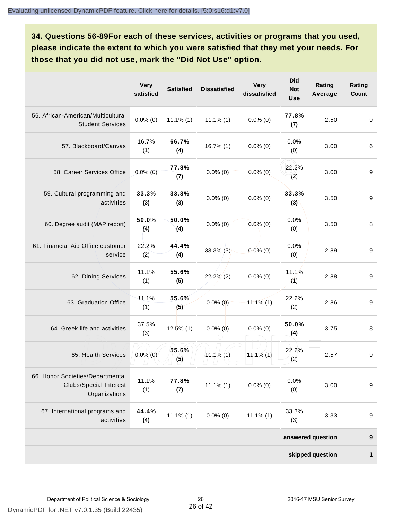**34. Questions 56-89For each of these services, activities or programs that you used, please indicate the extent to which you were satisfied that they met your needs. For those that you did not use, mark the "Did Not Use" option.**

|                                                                                    | <b>Very</b><br>satisfied | <b>Satisfied</b> | <b>Dissatisfied</b> | <b>Very</b><br>dissatisfied | <b>Did</b><br><b>Not</b><br><b>Use</b> | Rating<br>Average | Rating<br>Count  |
|------------------------------------------------------------------------------------|--------------------------|------------------|---------------------|-----------------------------|----------------------------------------|-------------------|------------------|
| 56. African-American/Multicultural<br><b>Student Services</b>                      | $0.0\%$ (0)              | $11.1\%$ (1)     | $11.1\%$ (1)        | $0.0\%$ (0)                 | 77.8%<br>(7)                           | 2.50              | 9                |
| 57. Blackboard/Canvas                                                              | 16.7%<br>(1)             | 66.7%<br>(4)     | $16.7\%$ (1)        | $0.0\%$ (0)                 | 0.0%<br>(0)                            | 3.00              | 6                |
| 58. Career Services Office                                                         | $0.0\%$ (0)              | 77.8%<br>(7)     | $0.0\%$ (0)         | $0.0\%$ (0)                 | 22.2%<br>(2)                           | 3.00              | 9                |
| 59. Cultural programming and<br>activities                                         | 33.3%<br>(3)             | 33.3%<br>(3)     | $0.0\%$ (0)         | $0.0\%$ (0)                 | 33.3%<br>(3)                           | 3.50              | 9                |
| 60. Degree audit (MAP report)                                                      | 50.0%<br>(4)             | 50.0%<br>(4)     | $0.0\%$ (0)         | $0.0\%$ (0)                 | 0.0%<br>(0)                            | 3.50              | 8                |
| 61. Financial Aid Office customer<br>service                                       | 22.2%<br>(2)             | 44.4%<br>(4)     | $33.3\%$ (3)        | $0.0\%$ (0)                 | 0.0%<br>(0)                            | 2.89              | 9                |
| 62. Dining Services                                                                | 11.1%<br>(1)             | 55.6%<br>(5)     | $22.2\%$ (2)        | $0.0\%$ (0)                 | 11.1%<br>(1)                           | 2.88              | 9                |
| 63. Graduation Office                                                              | 11.1%<br>(1)             | 55.6%<br>(5)     | $0.0\%$ (0)         | $11.1\%$ (1)                | 22.2%<br>(2)                           | 2.86              | 9                |
| 64. Greek life and activities                                                      | 37.5%<br>(3)             | $12.5\%$ (1)     | $0.0\%$ (0)         | $0.0\%$ (0)                 | 50.0%<br>(4)                           | 3.75              | 8                |
| 65. Health Services                                                                | $0.0\%$ (0)              | 55.6%<br>(5)     | $11.1\%$ (1)        | $11.1\%$ (1)                | 22.2%<br>(2)                           | 2.57              | 9                |
| 66. Honor Societies/Departmental<br><b>Clubs/Special Interest</b><br>Organizations | 11.1%<br>(1)             | 77.8%<br>(7)     | $11.1\%$ (1)        | $0.0\%$ (0)                 | 0.0%<br>(0)                            | 3.00              | $\boldsymbol{9}$ |
| 67. International programs and<br>activities                                       | 44.4%<br>(4)             | $11.1\%$ (1)     | $0.0\%$ (0)         | $11.1\%$ (1)                | 33.3%<br>(3)                           | 3.33              | 9                |
|                                                                                    |                          |                  |                     |                             |                                        | answered question | 9                |
|                                                                                    |                          |                  |                     |                             |                                        | skipped question  | 1                |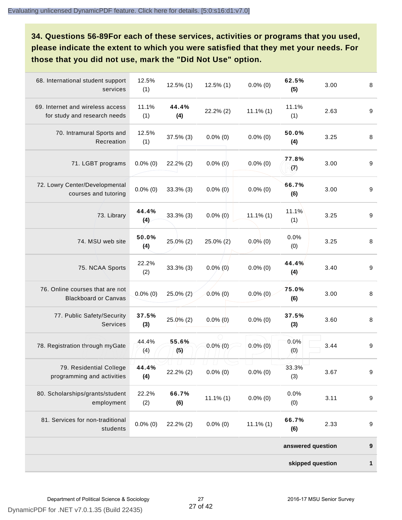**34. Questions 56-89For each of these services, activities or programs that you used, please indicate the extent to which you were satisfied that they met your needs. For those that you did not use, mark the "Did Not Use" option.**

| 68. International student support<br>services                    | 12.5%<br>(1) | $12.5\%$ (1) | $12.5\%$ (1) | $0.0\%$ (0)  | 62.5%<br>(5)      | 3.00 | 8                |
|------------------------------------------------------------------|--------------|--------------|--------------|--------------|-------------------|------|------------------|
| 69. Internet and wireless access<br>for study and research needs | 11.1%<br>(1) | 44.4%<br>(4) | 22.2% (2)    | $11.1\%$ (1) | 11.1%<br>(1)      | 2.63 | $\boldsymbol{9}$ |
| 70. Intramural Sports and<br>Recreation                          | 12.5%<br>(1) | $37.5\%$ (3) | $0.0\%$ (0)  | $0.0\%$ (0)  | 50.0%<br>(4)      | 3.25 | 8                |
| 71. LGBT programs                                                | $0.0\%$ (0)  | 22.2% (2)    | $0.0\%$ (0)  | $0.0\%$ (0)  | 77.8%<br>(7)      | 3.00 | $\boldsymbol{9}$ |
| 72. Lowry Center/Developmental<br>courses and tutoring           | $0.0\%$ (0)  | $33.3%$ (3)  | $0.0\%$ (0)  | $0.0\%$ (0)  | 66.7%<br>(6)      | 3.00 | 9                |
| 73. Library                                                      | 44.4%<br>(4) | 33.3% (3)    | $0.0\%$ (0)  | $11.1\%$ (1) | 11.1%<br>(1)      | 3.25 | $\boldsymbol{9}$ |
| 74. MSU web site                                                 | 50.0%<br>(4) | 25.0% (2)    | 25.0% (2)    | $0.0\%$ (0)  | 0.0%<br>(0)       | 3.25 | 8                |
| 75. NCAA Sports                                                  | 22.2%<br>(2) | $33.3%$ (3)  | $0.0\%$ (0)  | $0.0\%$ (0)  | 44.4%<br>(4)      | 3.40 | $\boldsymbol{9}$ |
| 76. Online courses that are not<br><b>Blackboard or Canvas</b>   | $0.0\%$ (0)  | 25.0% (2)    | $0.0\%$ (0)  | $0.0\%$ (0)  | 75.0%<br>(6)      | 3.00 | 8                |
| 77. Public Safety/Security<br>Services                           | 37.5%<br>(3) | 25.0% (2)    | $0.0\%$ (0)  | $0.0\%$ (0)  | 37.5%<br>(3)      | 3.60 | $\,8\,$          |
| 78. Registration through myGate                                  | 44.4%<br>(4) | 55.6%<br>(5) | $0.0\%$ (0)  | $0.0\%$ (0)  | 0.0%<br>(0)       | 3.44 | $\boldsymbol{9}$ |
| 79. Residential College<br>programming and activities            | 44.4%<br>(4) | 22.2% (2)    | $0.0\%$ (0)  | $0.0\%$ (0)  | 33.3%<br>(3)      | 3.67 | $\boldsymbol{9}$ |
| 80. Scholarships/grants/student<br>employment                    | 22.2%<br>(2) | 66.7%<br>(6) | $11.1\%$ (1) | $0.0\%$ (0)  | 0.0%<br>(0)       | 3.11 | $\boldsymbol{9}$ |
| 81. Services for non-traditional<br>students                     | $0.0\%$ (0)  | $22.2\%$ (2) | $0.0\%$ (0)  | $11.1\%$ (1) | 66.7%<br>(6)      | 2.33 | $\boldsymbol{9}$ |
|                                                                  |              |              |              |              | answered question |      | $\pmb{9}$        |
|                                                                  |              |              |              |              | skipped question  |      | 1                |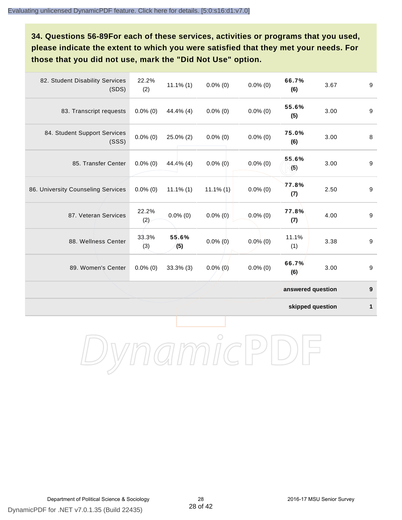**34. Questions 56-89For each of these services, activities or programs that you used, please indicate the extent to which you were satisfied that they met your needs. For those that you did not use, mark the "Did Not Use" option.**

| 82. Student Disability Services<br>(SDS) | 22.2%<br>(2) | $11.1\%$ (1) | $0.0\%$ (0)  | $0.0\%$ (0) | 66.7%<br>(6)      | 3.67 | $\boldsymbol{9}$ |
|------------------------------------------|--------------|--------------|--------------|-------------|-------------------|------|------------------|
| 83. Transcript requests                  | $0.0\%$ (0)  | 44.4% (4)    | $0.0\%$ (0)  | $0.0\%$ (0) | 55.6%<br>(5)      | 3.00 | 9                |
| 84. Student Support Services<br>(SSS)    | $0.0\%$ (0)  | 25.0% (2)    | $0.0\%$ (0)  | $0.0\%$ (0) | 75.0%<br>(6)      | 3.00 | 8                |
| 85. Transfer Center                      | $0.0\%$ (0)  | 44.4% (4)    | $0.0\%$ (0)  | $0.0\%$ (0) | 55.6%<br>(5)      | 3.00 | 9                |
| 86. University Counseling Services       | $0.0\%$ (0)  | $11.1\%$ (1) | $11.1\%$ (1) | $0.0\%$ (0) | 77.8%<br>(7)      | 2.50 | 9                |
| 87. Veteran Services                     | 22.2%<br>(2) | $0.0\%$ (0)  | $0.0\%$ (0)  | $0.0\%$ (0) | 77.8%<br>(7)      | 4.00 | $\boldsymbol{9}$ |
| 88. Wellness Center                      | 33.3%<br>(3) | 55.6%<br>(5) | $0.0\%$ (0)  | $0.0\%$ (0) | 11.1%<br>(1)      | 3.38 | $\boldsymbol{9}$ |
| 89. Women's Center                       | $0.0\%$ (0)  | $33.3\%$ (3) | $0.0\%$ (0)  | $0.0\%$ (0) | 66.7%<br>(6)      | 3.00 | 9                |
|                                          |              |              |              |             | answered question |      | 9                |

**skipped question 1**

DynamicPDF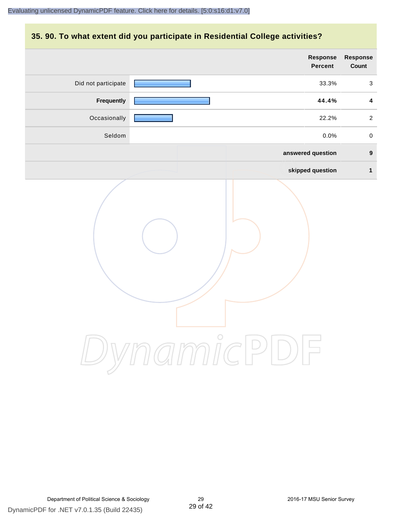#### **35. 90. To what extent did you participate in Residential College activities?**

|                     | Response<br>Percent | Response<br>Count |
|---------------------|---------------------|-------------------|
| Did not participate | 33.3%               | $\mathbf{3}$      |
| Frequently          | 44.4%               | $\boldsymbol{4}$  |
| Occasionally        | 22.2%               | $\overline{a}$    |
| Seldom              | 0.0%                | $\mathbf 0$       |
|                     | answered question   | $\boldsymbol{9}$  |
|                     | skipped question    | $\mathbf{1}$      |
|                     | mamicPl<br>$\Box$   |                   |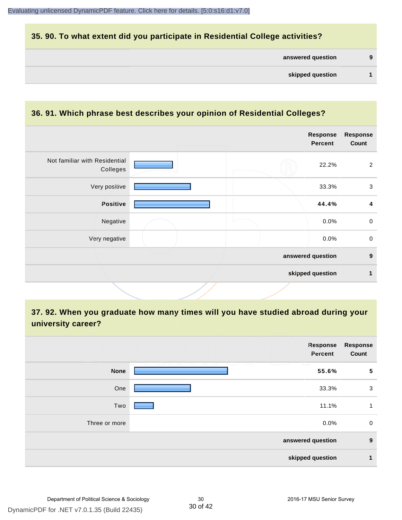#### **35. 90. To what extent did you participate in Residential College activities?**

| answered question |  |  |
|-------------------|--|--|
|-------------------|--|--|

#### **36. 91. Which phrase best describes your opinion of Residential Colleges?**

| Not familiar with Residential<br>22.2%<br>Colleges<br>Very positive<br>33.3%<br>Positive<br>44.4%<br>Negative<br>0.0%<br>Very negative<br>$0.0\%$<br>answered question |  | Response<br>Percent | <b>Response</b><br>Count |
|------------------------------------------------------------------------------------------------------------------------------------------------------------------------|--|---------------------|--------------------------|
|                                                                                                                                                                        |  |                     | 2                        |
|                                                                                                                                                                        |  |                     | $\mathbf{3}$             |
|                                                                                                                                                                        |  |                     | 4                        |
|                                                                                                                                                                        |  |                     | $\mathsf{O}$             |
|                                                                                                                                                                        |  |                     | $\mathbf 0$              |
|                                                                                                                                                                        |  |                     | $\boldsymbol{9}$         |
| skipped question                                                                                                                                                       |  |                     | 1                        |

# **37. 92. When you graduate how many times will you have studied abroad during your university career?**

|               | Response<br>Percent            | <b>Response</b><br>Count |
|---------------|--------------------------------|--------------------------|
| <b>None</b>   | 12 12 VI 20<br>$\sim$<br>55.6% | $5\phantom{1}$           |
| One           | 33.3%                          | 3                        |
| Two           | 11.1%                          | 1                        |
| Three or more | 0.0%                           | $\mathbf 0$              |
|               | answered question              | 9                        |
|               | skipped question               | 1                        |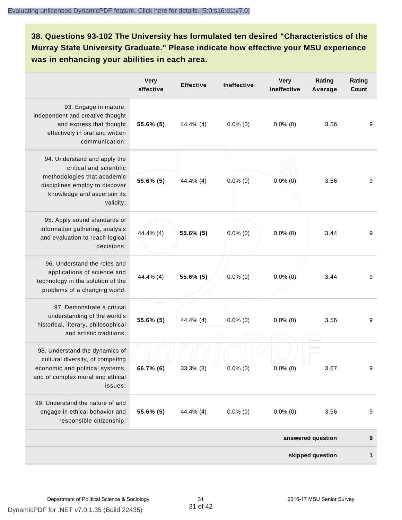**38. Questions 93-102 The University has formulated ten desired "Characteristics of the Murray State University Graduate." Please indicate how effective your MSU experience was in enhancing your abilities in each area.**

|                                                                                                                                                                      | <b>Very</b><br>effective | <b>Effective</b> | <b>Ineffective</b> | <b>Very</b><br>ineffective | Rating<br>Average | Rating<br><b>Count</b> |
|----------------------------------------------------------------------------------------------------------------------------------------------------------------------|--------------------------|------------------|--------------------|----------------------------|-------------------|------------------------|
| 93. Engage in mature,<br>independent and creative thought<br>and express that thought<br>effectively in oral and written<br>communication;                           | 55.6% (5)                | 44.4% (4)        | $0.0\%$ (0)        | $0.0\%$ (0)                | 3.56              | $\boldsymbol{9}$       |
| 94. Understand and apply the<br>critical and scientific<br>methodologies that academic<br>disciplines employ to discover<br>knowledge and ascertain its<br>validity; | 55.6% (5)                | 44.4% (4)        | $0.0\%$ (0)        | $0.0\%$ (0)                | 3.56              | 9                      |
| 95. Apply sound standards of<br>information gathering, analysis<br>and evaluation to reach logical<br>decisions;                                                     | 44.4% (4)                | 55.6% (5)        | $0.0\%$ (0)        | $0.0\%$ (0)                | 3.44              | 9                      |
| 96. Understand the roles and<br>applications of science and<br>technology in the solution of the<br>problems of a changing world;                                    | 44.4% (4)                | 55.6% (5)        | $0.0\%$ (0)        | $0.0\%$ (0)                | 3.44              | 9                      |
| 97. Demonstrate a critical<br>understanding of the world's<br>historical, literary, philosophical<br>and artistic traditions;                                        | 55.6% (5)                | 44.4% (4)        | $0.0\%$ (0)        | $0.0\%$ (0)                | 3.56              | 9                      |
| 98. Understand the dynamics of<br>cultural diversity, of competing<br>economic and political systems,<br>and of complex moral and ethical<br>issues;                 | 66.7% (6)                | $33.3\%$ (3)     | $0.0\%$ (0)        | $0.0\%$ (0)                | 3.67              | 9                      |
| 99. Understand the nature of and<br>engage in ethical behavior and<br>responsible citizenship;                                                                       | 55.6% (5)                | 44.4% (4)        | $0.0\%$ (0)        | $0.0\%$ (0)                | 3.56              | 9                      |
|                                                                                                                                                                      |                          |                  |                    |                            | answered question | 9                      |
|                                                                                                                                                                      | skipped question         |                  |                    |                            |                   | 1                      |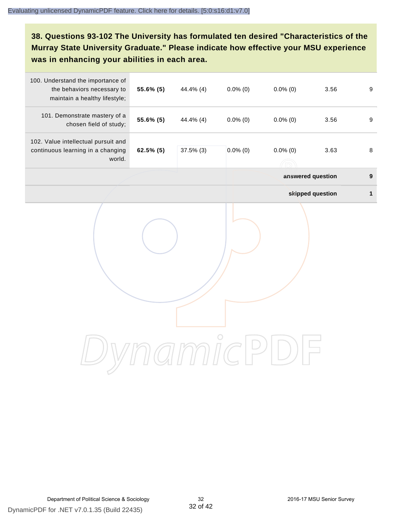# **38. Questions 93-102 The University has formulated ten desired "Characteristics of the Murray State University Graduate." Please indicate how effective your MSU experience was in enhancing your abilities in each area.**

| 100. Understand the importance of<br>the behaviors necessary to<br>maintain a healthy lifestyle; | 55.6% (5) | 44.4% (4)    | $0.0\%$ (0) | $0.0\%$ (0) | 3.56              | $\boldsymbol{9}$ |
|--------------------------------------------------------------------------------------------------|-----------|--------------|-------------|-------------|-------------------|------------------|
| 101. Demonstrate mastery of a<br>chosen field of study;                                          | 55.6% (5) | 44.4% (4)    | $0.0\%$ (0) | $0.0\%$ (0) | 3.56              | 9                |
| 102. Value intellectual pursuit and<br>continuous learning in a changing<br>world.               | 62.5% (5) | $37.5\%$ (3) | $0.0\%$ (0) | $0.0\%$ (0) | 3.63              | 8                |
|                                                                                                  |           |              |             |             | answered question | $\boldsymbol{9}$ |
|                                                                                                  |           |              |             |             | skipped question  | 1                |
|                                                                                                  |           |              |             |             |                   |                  |
|                                                                                                  |           |              |             |             |                   |                  |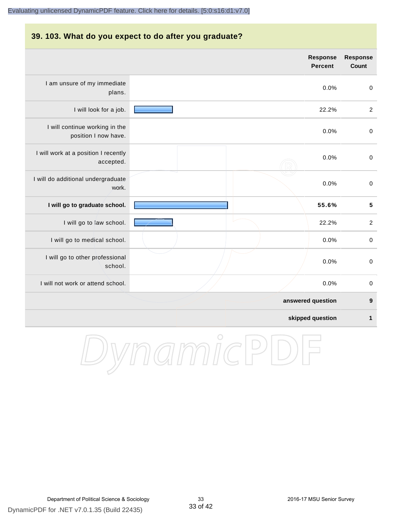#### **39. 103. What do you expect to do after you graduate?**

|                                                        | <b>Response</b><br><b>Percent</b> | <b>Response</b><br><b>Count</b> |
|--------------------------------------------------------|-----------------------------------|---------------------------------|
| I am unsure of my immediate<br>plans.                  | 0.0%                              | $\pmb{0}$                       |
| I will look for a job.                                 | 22.2%                             | $\sqrt{2}$                      |
| I will continue working in the<br>position I now have. | 0.0%                              | $\,0\,$                         |
| I will work at a position I recently<br>accepted.      | 0.0%                              | $\mathbf 0$                     |
| I will do additional undergraduate<br>work.            | 0.0%                              | $\,0\,$                         |
| I will go to graduate school.                          | 55.6%                             | $\overline{\mathbf{5}}$         |
| I will go to law school.                               | 22.2%                             | $\overline{c}$                  |
| I will go to medical school.                           | 0.0%                              | $\mathbf 0$                     |
| I will go to other professional<br>school.             | 0.0%                              | $\mathbf 0$                     |
| I will not work or attend school.                      | 0.0%                              | $\pmb{0}$                       |
|                                                        | answered question                 | 9                               |
|                                                        | skipped question                  | $\mathbf{1}$                    |

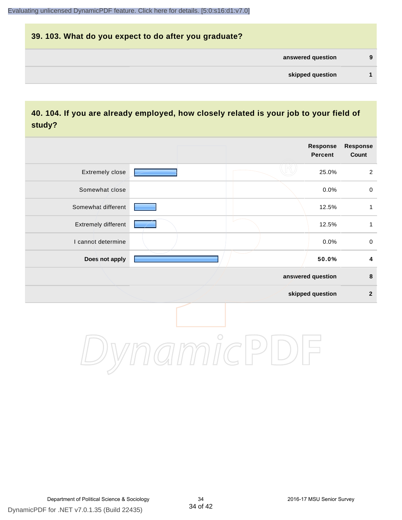# **39. 103. What do you expect to do after you graduate? answered question 9 skipped question 1**

#### **40. 104. If you are already employed, how closely related is your job to your field of study?**

|                     |         | <b>Response</b><br><b>Percent</b> | <b>Response</b><br>Count |
|---------------------|---------|-----------------------------------|--------------------------|
| Extremely close     |         | 25.0%                             | $\overline{2}$           |
| Somewhat close      |         | 0.0%                              | $\mathbf 0$              |
| Somewhat different  |         | 12.5%                             | $\mathbf{1}$             |
| Extremely different |         | 12.5%                             | 1                        |
| I cannot determine  |         | 0.0%                              | $\pmb{0}$                |
| Does not apply      |         | 50.0%                             | 4                        |
|                     |         | answered question                 | $\pmb{8}$                |
|                     |         | skipped question                  | $\boldsymbol{2}$         |
|                     | $\circ$ |                                   |                          |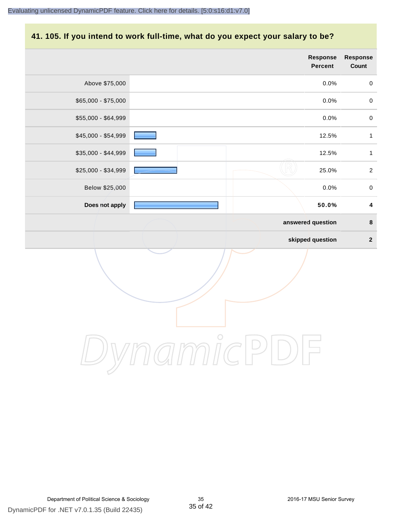#### **41. 105. If you intend to work full-time, what do you expect your salary to be?**

|                     | Response<br>Percent | Response<br>Count       |
|---------------------|---------------------|-------------------------|
| Above \$75,000      | 0.0%                | $\pmb{0}$               |
| \$65,000 - \$75,000 | 0.0%                | $\pmb{0}$               |
| \$55,000 - \$64,999 | 0.0%                | $\pmb{0}$               |
| \$45,000 - \$54,999 | 12.5%               | $\mathbf{1}$            |
| \$35,000 - \$44,999 | 12.5%               | $\mathbf{1}$            |
| \$25,000 - \$34,999 | 25.0%               | $\sqrt{2}$              |
| Below \$25,000      | 0.0%                | $\pmb{0}$               |
| Does not apply      | 50.0%               | $\overline{\mathbf{4}}$ |
|                     | answered question   | $\bf8$                  |
|                     | skipped question    | $\overline{\mathbf{2}}$ |
|                     |                     |                         |
|                     |                     |                         |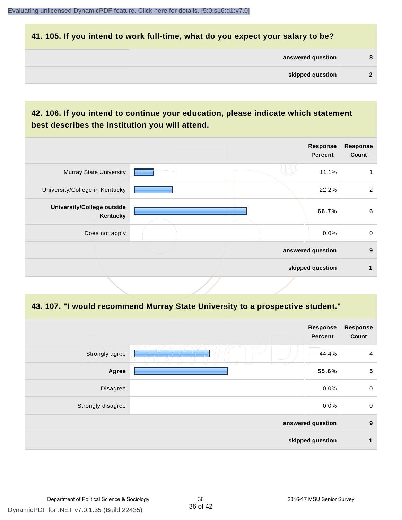#### **41. 105. If you intend to work full-time, what do you expect your salary to be?**

| answered question | 8 |
|-------------------|---|
|                   |   |

## **42. 106. If you intend to continue your education, please indicate which statement best describes the institution you will attend.**

|                                        |  | <b>Response</b><br><b>Percent</b> | <b>Response</b><br>Count |
|----------------------------------------|--|-----------------------------------|--------------------------|
| <b>Murray State University</b>         |  | 11.1%                             |                          |
| University/College in Kentucky         |  | 22.2%                             | 2                        |
| University/College outside<br>Kentucky |  | 66.7%                             | 6                        |
| Does not apply                         |  | $0.0\%$                           | $\mathbf 0$              |
|                                        |  | answered question                 | 9                        |
|                                        |  | skipped question                  |                          |

#### **43. 107. "I would recommend Murray State University to a prospective student."**

| <b>Response</b><br>Count | <b>Response</b><br>Percent |                               |                   |
|--------------------------|----------------------------|-------------------------------|-------------------|
| $\overline{4}$           | 44.4%                      |                               | Strongly agree    |
| $\sqrt{5}$               | m<br>55.6%                 | <b>The Contract of Street</b> | U<br>Agree        |
| $\mathbf 0$              | 0.0%                       |                               | Disagree          |
| $\mathbf 0$              | 0.0%                       |                               | Strongly disagree |
| 9                        | answered question          |                               |                   |
| 1                        | skipped question           |                               |                   |
|                          |                            |                               |                   |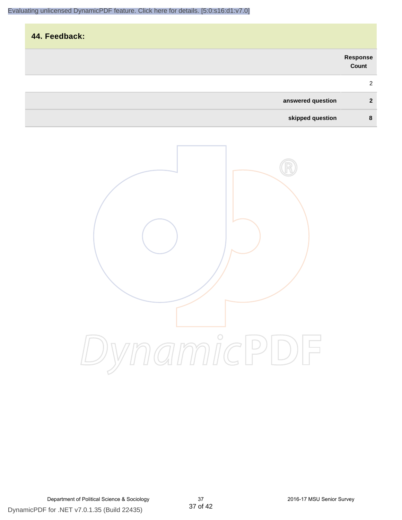| 44. Feedback:     |                   |
|-------------------|-------------------|
|                   | Response<br>Count |
|                   | 2                 |
| answered question | $\mathbf{2}$      |
| skipped question  | 8                 |

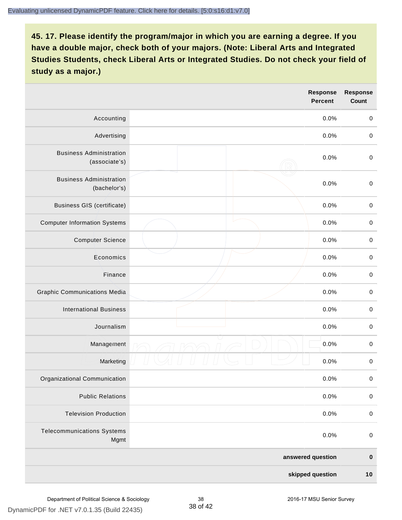|                                                 |  | <b>Response</b><br><b>Percent</b> | <b>Response</b><br>Count |
|-------------------------------------------------|--|-----------------------------------|--------------------------|
| Accounting                                      |  | 0.0%                              | $\mathbf 0$              |
| Advertising                                     |  | 0.0%                              | $\pmb{0}$                |
| <b>Business Administration</b><br>(associate's) |  | 0.0%                              | $\pmb{0}$                |
| <b>Business Administration</b><br>(bachelor's)  |  | 0.0%                              | $\pmb{0}$                |
| <b>Business GIS (certificate)</b>               |  | 0.0%                              | $\mathbf 0$              |
| <b>Computer Information Systems</b>             |  | 0.0%                              | $\pmb{0}$                |
| <b>Computer Science</b>                         |  | 0.0%                              | $\mathbf 0$              |
| Economics                                       |  | 0.0%                              | $\pmb{0}$                |
| Finance                                         |  | 0.0%                              | $\pmb{0}$                |
| <b>Graphic Communications Media</b>             |  | 0.0%                              | $\mathbf 0$              |
| <b>International Business</b>                   |  | 0.0%                              | $\pmb{0}$                |
| Journalism                                      |  | 0.0%                              | $\mathbf 0$              |
| Management                                      |  | 0.0%                              | $\pmb{0}$                |
| Marketing                                       |  | 0.0%                              | $\,0\,$                  |
| Organizational Communication                    |  | 0.0%                              | $\pmb{0}$                |
| <b>Public Relations</b>                         |  | 0.0%                              | $\mathbf 0$              |
| <b>Television Production</b>                    |  | 0.0%                              | $\mathsf 0$              |
| <b>Telecommunications Systems</b><br>Mgmt       |  | 0.0%                              | $\mathbf 0$              |
|                                                 |  | answered question                 | $\pmb{0}$                |
| skipped question                                |  | 10                                |                          |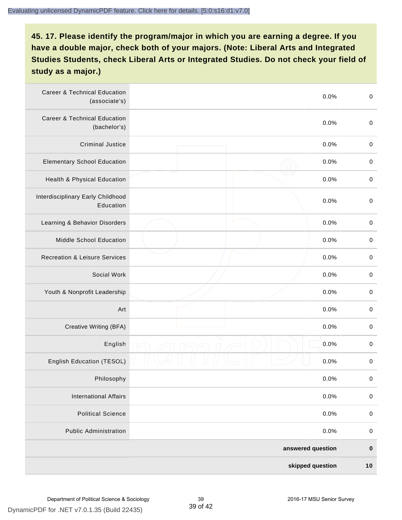| <b>Career &amp; Technical Education</b><br>(associate's) | 0.0%              | $\pmb{0}$   |
|----------------------------------------------------------|-------------------|-------------|
| <b>Career &amp; Technical Education</b><br>(bachelor's)  | 0.0%              | $\pmb{0}$   |
| <b>Criminal Justice</b>                                  | 0.0%              | $\,0\,$     |
| <b>Elementary School Education</b>                       | 0.0%              | $\mathbf 0$ |
| Health & Physical Education                              | 0.0%              | $\pmb{0}$   |
| Interdisciplinary Early Childhood<br>Education           | 0.0%              | $\pmb{0}$   |
| Learning & Behavior Disorders                            | 0.0%              | $\,0\,$     |
| Middle School Education                                  | 0.0%              | $\mathbf 0$ |
| <b>Recreation &amp; Leisure Services</b>                 | 0.0%              | $\mathbf 0$ |
| Social Work                                              | 0.0%              | $\pmb{0}$   |
| Youth & Nonprofit Leadership                             | 0.0%              | $\,0\,$     |
| Art                                                      | 0.0%              | $\,0\,$     |
| Creative Writing (BFA)                                   | 0.0%              | $\mathbf 0$ |
| English                                                  | 0.0%              | $\mathbf 0$ |
| English Education (TESOL)                                | 0.0%              | 0           |
| Philosophy                                               | 0.0%              | 0           |
| <b>International Affairs</b>                             | 0.0%              | $\mathbf 0$ |
| <b>Political Science</b>                                 | 0.0%              | $\mathbf 0$ |
| <b>Public Administration</b>                             | 0.0%              | $\mathbf 0$ |
|                                                          | answered question | $\pmb{0}$   |
|                                                          | skipped question  | 10          |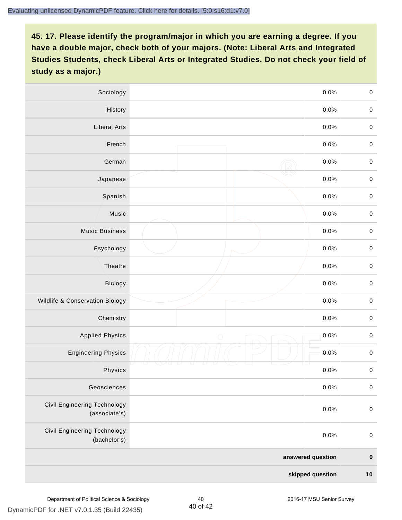| Sociology                                            |            | 0.0%    | $\mathbf 0$ |
|------------------------------------------------------|------------|---------|-------------|
| History                                              |            | $0.0\%$ | $\mathbf 0$ |
| <b>Liberal Arts</b>                                  |            | 0.0%    | $\mathbf 0$ |
| French                                               |            | 0.0%    | $\pmb{0}$   |
| German                                               |            | 0.0%    | $\mathbf 0$ |
| Japanese                                             |            | 0.0%    | $\mathbf 0$ |
| Spanish                                              |            | 0.0%    | $\mathbf 0$ |
| Music                                                |            | 0.0%    | $\mathbf 0$ |
| <b>Music Business</b>                                |            | 0.0%    | $\pmb{0}$   |
| Psychology                                           |            | 0.0%    | $\mathbf 0$ |
| Theatre                                              |            | 0.0%    | $\mathbf 0$ |
| Biology                                              |            | 0.0%    | $\mathbf 0$ |
| Wildlife & Conservation Biology                      |            | 0.0%    | $\mathbf 0$ |
| Chemistry                                            |            | 0.0%    | $\pmb{0}$   |
| <b>Applied Physics</b>                               | $\bigcirc$ | 0.0%    | $\mathbf 0$ |
| <b>Engineering Physics</b>                           |            | 0.0%    | $\mathbf 0$ |
| Physics                                              |            | 0.0%    | $\mathbf 0$ |
| Geosciences                                          |            | 0.0%    | $\mathbf 0$ |
| <b>Civil Engineering Technology</b><br>(associate's) |            | 0.0%    | $\pmb{0}$   |
| Civil Engineering Technology<br>(bachelor's)         |            | 0.0%    | $\pmb{0}$   |
| answered question                                    |            |         | $\pmb{0}$   |
| skipped question                                     |            |         | $10$        |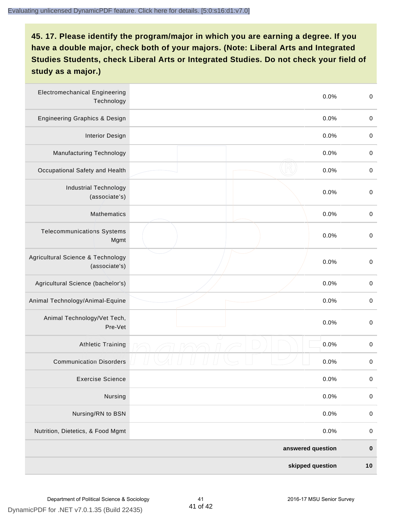| <b>Electromechanical Engineering</b><br>Technology | 0.0%              | $\mathbf 0$ |
|----------------------------------------------------|-------------------|-------------|
| <b>Engineering Graphics &amp; Design</b>           | 0.0%              | $\mathbf 0$ |
| <b>Interior Design</b>                             | 0.0%              | $\,0\,$     |
| Manufacturing Technology                           | 0.0%              | $\,0\,$     |
| Occupational Safety and Health                     | 0.0%              | $\pmb{0}$   |
| <b>Industrial Technology</b><br>(associate's)      | 0.0%              | $\,0\,$     |
| <b>Mathematics</b>                                 | 0.0%              | $\,0\,$     |
| <b>Telecommunications Systems</b><br>Mgmt          | 0.0%              | $\,0\,$     |
| Agricultural Science & Technology<br>(associate's) | 0.0%              | $\mathbf 0$ |
| Agricultural Science (bachelor's)                  | 0.0%              | $\mathbf 0$ |
| Animal Technology/Animal-Equine                    | 0.0%              | $\pmb{0}$   |
| Animal Technology/Vet Tech,<br>Pre-Vet             | 0.0%              | $\pmb{0}$   |
| Athletic Training                                  | 0.0%              | $\pmb{0}$   |
| <b>Communication Disorders</b>                     | 0.0%              | $\pmb{0}$   |
| <b>Exercise Science</b>                            | 0.0%              | $\pmb{0}$   |
| Nursing                                            | 0.0%              | $\mathbf 0$ |
| Nursing/RN to BSN                                  | 0.0%              | $\pmb{0}$   |
| Nutrition, Dietetics, & Food Mgmt                  | 0.0%              | $\,0\,$     |
|                                                    | answered question | $\pmb{0}$   |
|                                                    | skipped question  | $10$        |